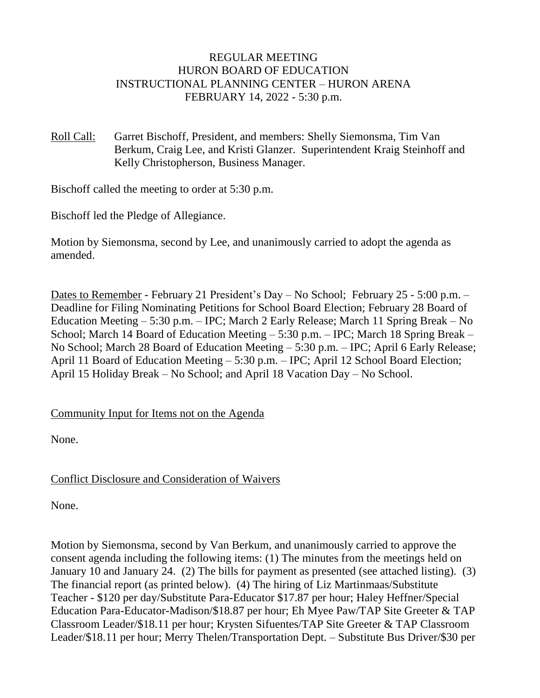## REGULAR MEETING HURON BOARD OF EDUCATION INSTRUCTIONAL PLANNING CENTER – HURON ARENA FEBRUARY 14, 2022 - 5:30 p.m.

Roll Call: Garret Bischoff, President, and members: Shelly Siemonsma, Tim Van Berkum, Craig Lee, and Kristi Glanzer. Superintendent Kraig Steinhoff and Kelly Christopherson, Business Manager.

Bischoff called the meeting to order at 5:30 p.m.

Bischoff led the Pledge of Allegiance.

Motion by Siemonsma, second by Lee, and unanimously carried to adopt the agenda as amended.

Dates to Remember - February 21 President's Day – No School; February 25 - 5:00 p.m. – Deadline for Filing Nominating Petitions for School Board Election; February 28 Board of Education Meeting – 5:30 p.m. – IPC; March 2 Early Release; March 11 Spring Break – No School; March 14 Board of Education Meeting – 5:30 p.m. – IPC; March 18 Spring Break – No School; March 28 Board of Education Meeting – 5:30 p.m. – IPC; April 6 Early Release; April 11 Board of Education Meeting – 5:30 p.m. – IPC; April 12 School Board Election; April 15 Holiday Break – No School; and April 18 Vacation Day – No School.

### Community Input for Items not on the Agenda

None.

# Conflict Disclosure and Consideration of Waivers

None.

Motion by Siemonsma, second by Van Berkum, and unanimously carried to approve the consent agenda including the following items: (1) The minutes from the meetings held on January 10 and January 24. (2) The bills for payment as presented (see attached listing). (3) The financial report (as printed below). (4) The hiring of Liz Martinmaas/Substitute Teacher - \$120 per day/Substitute Para-Educator \$17.87 per hour; Haley Heffner/Special Education Para-Educator-Madison/\$18.87 per hour; Eh Myee Paw/TAP Site Greeter & TAP Classroom Leader/\$18.11 per hour; Krysten Sifuentes/TAP Site Greeter & TAP Classroom Leader/\$18.11 per hour; Merry Thelen/Transportation Dept. – Substitute Bus Driver/\$30 per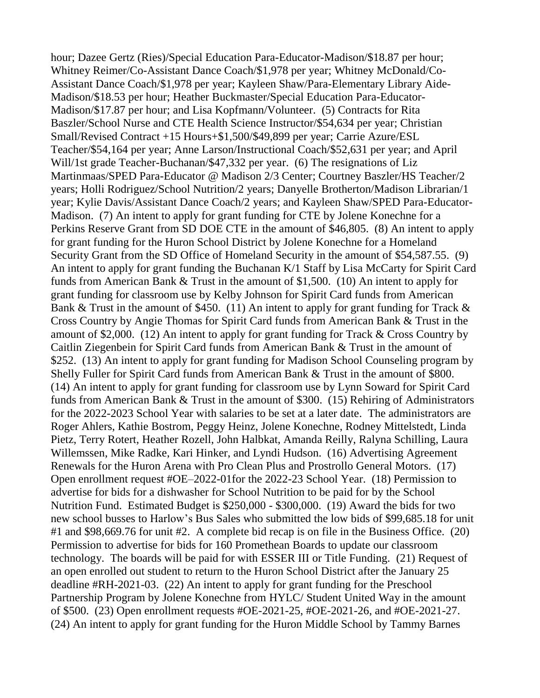hour; Dazee Gertz (Ries)/Special Education Para-Educator-Madison/\$18.87 per hour; Whitney Reimer/Co-Assistant Dance Coach/\$1,978 per year; Whitney McDonald/Co-Assistant Dance Coach/\$1,978 per year; Kayleen Shaw/Para-Elementary Library Aide-Madison/\$18.53 per hour; Heather Buckmaster/Special Education Para-Educator-Madison/\$17.87 per hour; and Lisa Kopfmann/Volunteer. (5) Contracts for Rita Baszler/School Nurse and CTE Health Science Instructor/\$54,634 per year; Christian Small/Revised Contract +15 Hours+\$1,500/\$49,899 per year; Carrie Azure/ESL Teacher/\$54,164 per year; Anne Larson/Instructional Coach/\$52,631 per year; and April Will/1st grade Teacher-Buchanan/\$47,332 per year. (6) The resignations of Liz Martinmaas/SPED Para-Educator @ Madison 2/3 Center; Courtney Baszler/HS Teacher/2 years; Holli Rodriguez/School Nutrition/2 years; Danyelle Brotherton/Madison Librarian/1 year; Kylie Davis/Assistant Dance Coach/2 years; and Kayleen Shaw/SPED Para-Educator-Madison. (7) An intent to apply for grant funding for CTE by Jolene Konechne for a Perkins Reserve Grant from SD DOE CTE in the amount of \$46,805. (8) An intent to apply for grant funding for the Huron School District by Jolene Konechne for a Homeland Security Grant from the SD Office of Homeland Security in the amount of \$54,587.55. (9) An intent to apply for grant funding the Buchanan K/1 Staff by Lisa McCarty for Spirit Card funds from American Bank & Trust in the amount of \$1,500. (10) An intent to apply for grant funding for classroom use by Kelby Johnson for Spirit Card funds from American Bank & Trust in the amount of \$450. (11) An intent to apply for grant funding for Track  $\&$ Cross Country by Angie Thomas for Spirit Card funds from American Bank & Trust in the amount of \$2,000. (12) An intent to apply for grant funding for Track & Cross Country by Caitlin Ziegenbein for Spirit Card funds from American Bank & Trust in the amount of \$252. (13) An intent to apply for grant funding for Madison School Counseling program by Shelly Fuller for Spirit Card funds from American Bank & Trust in the amount of \$800. (14) An intent to apply for grant funding for classroom use by Lynn Soward for Spirit Card funds from American Bank & Trust in the amount of \$300. (15) Rehiring of Administrators for the 2022-2023 School Year with salaries to be set at a later date. The administrators are Roger Ahlers, Kathie Bostrom, Peggy Heinz, Jolene Konechne, Rodney Mittelstedt, Linda Pietz, Terry Rotert, Heather Rozell, John Halbkat, Amanda Reilly, Ralyna Schilling, Laura Willemssen, Mike Radke, Kari Hinker, and Lyndi Hudson. (16) Advertising Agreement Renewals for the Huron Arena with Pro Clean Plus and Prostrollo General Motors. (17) Open enrollment request #OE–2022-01for the 2022-23 School Year. (18) Permission to advertise for bids for a dishwasher for School Nutrition to be paid for by the School Nutrition Fund. Estimated Budget is \$250,000 - \$300,000. (19) Award the bids for two new school busses to Harlow's Bus Sales who submitted the low bids of \$99,685.18 for unit #1 and \$98,669.76 for unit #2. A complete bid recap is on file in the Business Office. (20) Permission to advertise for bids for 160 Promethean Boards to update our classroom technology. The boards will be paid for with ESSER III or Title Funding. (21) Request of an open enrolled out student to return to the Huron School District after the January 25 deadline #RH-2021-03. (22) An intent to apply for grant funding for the Preschool Partnership Program by Jolene Konechne from HYLC/ Student United Way in the amount of \$500. (23) Open enrollment requests #OE-2021-25, #OE-2021-26, and #OE-2021-27. (24) An intent to apply for grant funding for the Huron Middle School by Tammy Barnes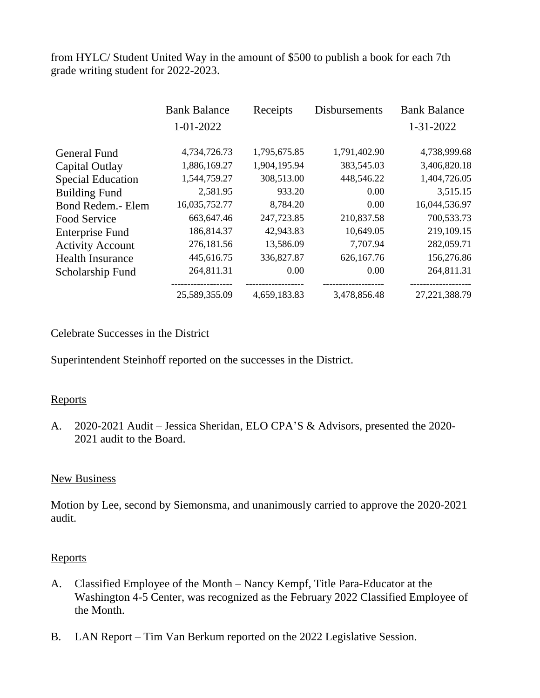from HYLC/ Student United Way in the amount of \$500 to publish a book for each 7th grade writing student for 2022-2023.

|                          | <b>Bank Balance</b> | Receipts     | <b>Disbursements</b> | <b>Bank Balance</b> |
|--------------------------|---------------------|--------------|----------------------|---------------------|
|                          | 1-01-2022           |              |                      | 1-31-2022           |
| <b>General Fund</b>      | 4,734,726.73        | 1,795,675.85 | 1,791,402.90         | 4,738,999.68        |
| Capital Outlay           | 1,886,169.27        | 1,904,195.94 | 383,545.03           | 3,406,820.18        |
| <b>Special Education</b> | 1,544,759.27        | 308,513.00   | 448,546.22           | 1,404,726.05        |
| <b>Building Fund</b>     | 2,581.95            | 933.20       | 0.00                 | 3,515.15            |
| Bond Redem.- Elem        | 16,035,752.77       | 8,784.20     | 0.00                 | 16,044,536.97       |
| Food Service             | 663,647.46          | 247,723.85   | 210,837.58           | 700,533.73          |
| <b>Enterprise Fund</b>   | 186,814.37          | 42,943.83    | 10,649.05            | 219,109.15          |
| <b>Activity Account</b>  | 276,181.56          | 13,586.09    | 7,707.94             | 282,059.71          |
| <b>Health Insurance</b>  | 445,616.75          | 336,827.87   | 626,167.76           | 156,276.86          |
| Scholarship Fund         | 264,811.31          | 0.00         | 0.00                 | 264,811.31          |
|                          | 25,589,355.09       | 4,659,183.83 | 3,478,856.48         | 27, 221, 388. 79    |

## Celebrate Successes in the District

Superintendent Steinhoff reported on the successes in the District.

### **Reports**

A. 2020-2021 Audit – Jessica Sheridan, ELO CPA'S & Advisors, presented the 2020- 2021 audit to the Board.

#### New Business

Motion by Lee, second by Siemonsma, and unanimously carried to approve the 2020-2021 audit.

#### Reports

- A. Classified Employee of the Month Nancy Kempf, Title Para-Educator at the Washington 4-5 Center, was recognized as the February 2022 Classified Employee of the Month.
- B. LAN Report Tim Van Berkum reported on the 2022 Legislative Session.